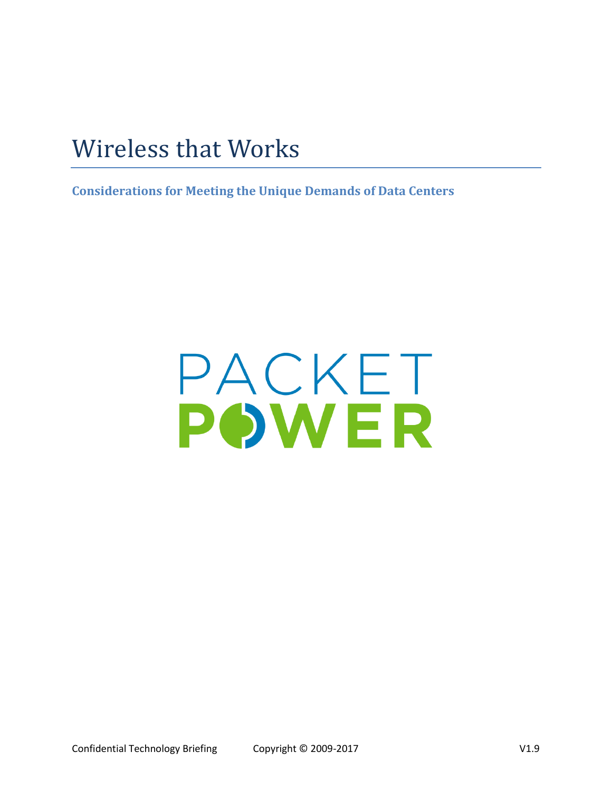# Wireless that Works

**Considerations for Meeting the Unique Demands of Data Centers**

# PACKET POWER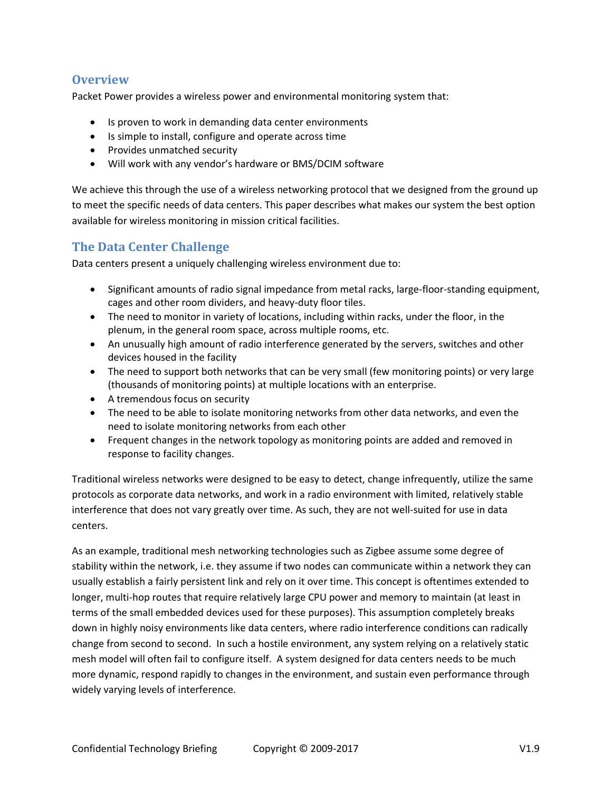## **Overview**

Packet Power provides a wireless power and environmental monitoring system that:

- Is proven to work in demanding data center environments
- Is simple to install, configure and operate across time
- Provides unmatched security
- Will work with any vendor's hardware or BMS/DCIM software

We achieve this through the use of a wireless networking protocol that we designed from the ground up to meet the specific needs of data centers. This paper describes what makes our system the best option available for wireless monitoring in mission critical facilities.

# **The Data Center Challenge**

Data centers present a uniquely challenging wireless environment due to:

- Significant amounts of radio signal impedance from metal racks, large-floor-standing equipment, cages and other room dividers, and heavy-duty floor tiles.
- The need to monitor in variety of locations, including within racks, under the floor, in the plenum, in the general room space, across multiple rooms, etc.
- An unusually high amount of radio interference generated by the servers, switches and other devices housed in the facility
- The need to support both networks that can be very small (few monitoring points) or very large (thousands of monitoring points) at multiple locations with an enterprise.
- A tremendous focus on security
- The need to be able to isolate monitoring networks from other data networks, and even the need to isolate monitoring networks from each other
- Frequent changes in the network topology as monitoring points are added and removed in response to facility changes.

Traditional wireless networks were designed to be easy to detect, change infrequently, utilize the same protocols as corporate data networks, and work in a radio environment with limited, relatively stable interference that does not vary greatly over time. As such, they are not well-suited for use in data centers.

As an example, traditional mesh networking technologies such as Zigbee assume some degree of stability within the network, i.e. they assume if two nodes can communicate within a network they can usually establish a fairly persistent link and rely on it over time. This concept is oftentimes extended to longer, multi-hop routes that require relatively large CPU power and memory to maintain (at least in terms of the small embedded devices used for these purposes). This assumption completely breaks down in highly noisy environments like data centers, where radio interference conditions can radically change from second to second. In such a hostile environment, any system relying on a relatively static mesh model will often fail to configure itself. A system designed for data centers needs to be much more dynamic, respond rapidly to changes in the environment, and sustain even performance through widely varying levels of interference.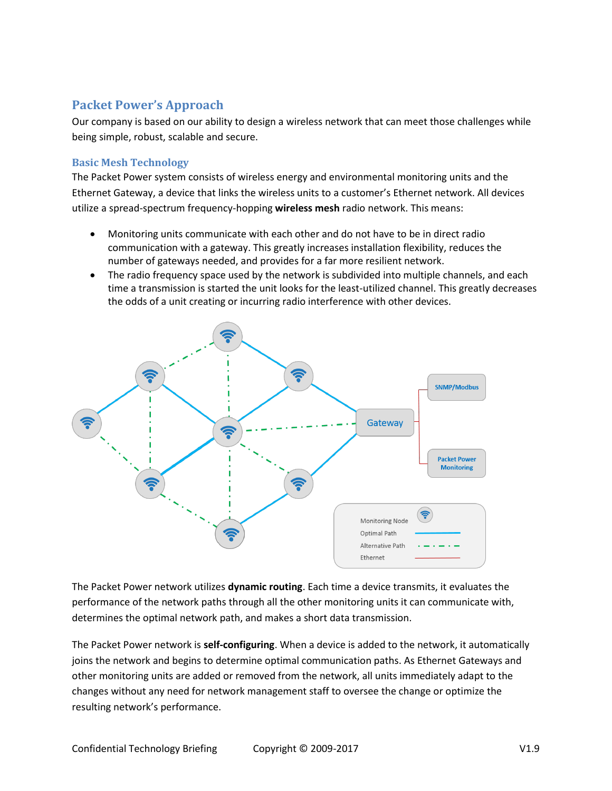# **Packet Power's Approach**

Our company is based on our ability to design a wireless network that can meet those challenges while being simple, robust, scalable and secure.

#### **Basic Mesh Technology**

The Packet Power system consists of wireless energy and environmental monitoring units and the Ethernet Gateway, a device that links the wireless units to a customer's Ethernet network. All devices utilize a spread-spectrum frequency-hopping **wireless mesh** radio network. This means:

- Monitoring units communicate with each other and do not have to be in direct radio communication with a gateway. This greatly increases installation flexibility, reduces the number of gateways needed, and provides for a far more resilient network.
- The radio frequency space used by the network is subdivided into multiple channels, and each time a transmission is started the unit looks for the least-utilized channel. This greatly decreases the odds of a unit creating or incurring radio interference with other devices.



The Packet Power network utilizes **dynamic routing**. Each time a device transmits, it evaluates the performance of the network paths through all the other monitoring units it can communicate with, determines the optimal network path, and makes a short data transmission.

The Packet Power network is **self-configuring**. When a device is added to the network, it automatically joins the network and begins to determine optimal communication paths. As Ethernet Gateways and other monitoring units are added or removed from the network, all units immediately adapt to the changes without any need for network management staff to oversee the change or optimize the resulting network's performance.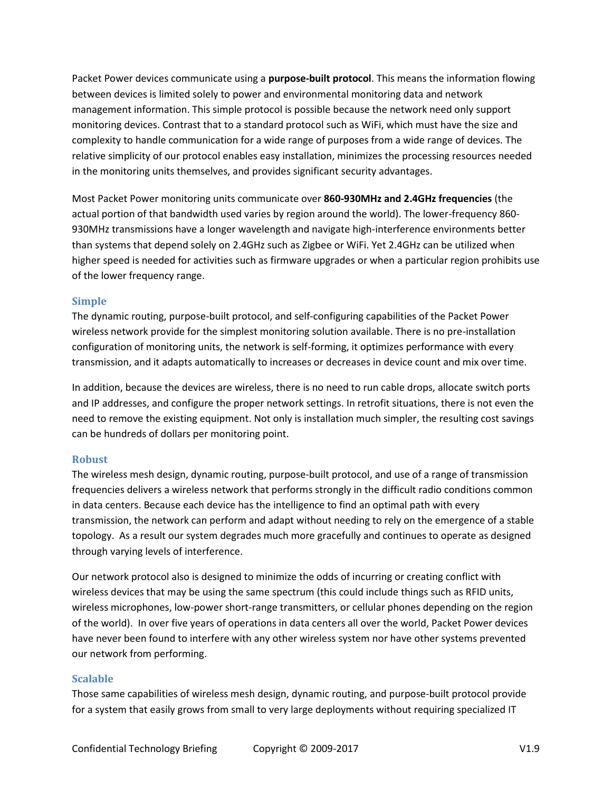Packet Power devices communicate using a **purpose-built protocol**. This means the information flowing between devices is limited solely to power and environmental monitoring data and network management information. This simple protocol is possible because the network need only support monitoring devices. Contrast that to a standard protocol such as WiFi, which must have the size and complexity to handle communication for a wide range of purposes from a wide range of devices. The relative simplicity of our protocol enables easy installation, minimizes the processing resources needed in the monitoring units themselves, and provides significant security advantages.

Most Packet Power monitoring units communicate over **860-930MHz and 2.4GHz frequencies** (the actual portion of that bandwidth used varies by region around the world). The lower-frequency 860- 930MHz transmissions have a longer wavelength and navigate high-interference environments better than systems that depend solely on 2.4GHz such as Zigbee or WiFi. Yet 2.4GHz can be utilized when higher speed is needed for activities such as firmware upgrades or when a particular region prohibits use of the lower frequency range.

#### **Simple**

The dynamic routing, purpose-built protocol, and self-configuring capabilities of the Packet Power wireless network provide for the simplest monitoring solution available. There is no pre-installation configuration of monitoring units, the network is self-forming, it optimizes performance with every transmission, and it adapts automatically to increases or decreases in device count and mix over time.

In addition, because the devices are wireless, there is no need to run cable drops, allocate switch ports and IP addresses, and configure the proper network settings. In retrofit situations, there is not even the need to remove the existing equipment. Not only is installation much simpler, the resulting cost savings can be hundreds of dollars per monitoring point.

#### **Robust**

The wireless mesh design, dynamic routing, purpose-built protocol, and use of a range of transmission frequencies delivers a wireless network that performs strongly in the difficult radio conditions common in data centers. Because each device has the intelligence to find an optimal path with every transmission, the network can perform and adapt without needing to rely on the emergence of a stable topology. As a result our system degrades much more gracefully and continues to operate as designed through varying levels of interference.

Our network protocol also is designed to minimize the odds of incurring or creating conflict with wireless devices that may be using the same spectrum (this could include things such as RFID units, wireless microphones, low-power short-range transmitters, or cellular phones depending on the region of the world). In over five years of operations in data centers all over the world, Packet Power devices have never been found to interfere with any other wireless system nor have other systems prevented our network from performing.

#### **Scalable**

Those same capabilities of wireless mesh design, dynamic routing, and purpose-built protocol provide for a system that easily grows from small to very large deployments without requiring specialized IT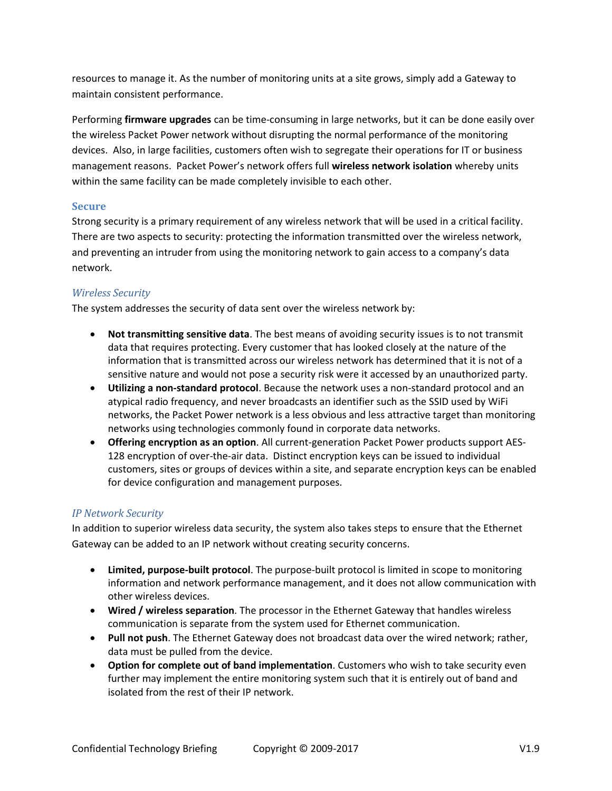resources to manage it. As the number of monitoring units at a site grows, simply add a Gateway to maintain consistent performance.

Performing **firmware upgrades** can be time-consuming in large networks, but it can be done easily over the wireless Packet Power network without disrupting the normal performance of the monitoring devices. Also, in large facilities, customers often wish to segregate their operations for IT or business management reasons. Packet Power's network offers full **wireless network isolation** whereby units within the same facility can be made completely invisible to each other.

#### **Secure**

Strong security is a primary requirement of any wireless network that will be used in a critical facility. There are two aspects to security: protecting the information transmitted over the wireless network, and preventing an intruder from using the monitoring network to gain access to a company's data network.

#### *Wireless Security*

The system addresses the security of data sent over the wireless network by:

- **Not transmitting sensitive data**. The best means of avoiding security issues is to not transmit data that requires protecting. Every customer that has looked closely at the nature of the information that is transmitted across our wireless network has determined that it is not of a sensitive nature and would not pose a security risk were it accessed by an unauthorized party.
- **Utilizing a non-standard protocol**. Because the network uses a non-standard protocol and an atypical radio frequency, and never broadcasts an identifier such as the SSID used by WiFi networks, the Packet Power network is a less obvious and less attractive target than monitoring networks using technologies commonly found in corporate data networks.
- **Offering encryption as an option**. All current-generation Packet Power products support AES-128 encryption of over-the-air data. Distinct encryption keys can be issued to individual customers, sites or groups of devices within a site, and separate encryption keys can be enabled for device configuration and management purposes.

#### *IP Network Security*

In addition to superior wireless data security, the system also takes steps to ensure that the Ethernet Gateway can be added to an IP network without creating security concerns.

- **Limited, purpose-built protocol**. The purpose-built protocol is limited in scope to monitoring information and network performance management, and it does not allow communication with other wireless devices.
- **Wired / wireless separation**. The processor in the Ethernet Gateway that handles wireless communication is separate from the system used for Ethernet communication.
- **Pull not push**. The Ethernet Gateway does not broadcast data over the wired network; rather, data must be pulled from the device.
- **Option for complete out of band implementation**. Customers who wish to take security even further may implement the entire monitoring system such that it is entirely out of band and isolated from the rest of their IP network.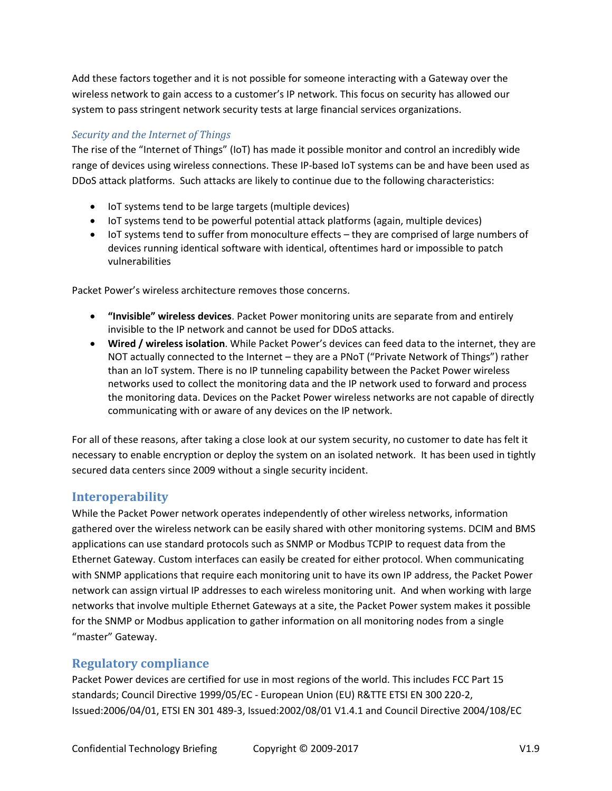Add these factors together and it is not possible for someone interacting with a Gateway over the wireless network to gain access to a customer's IP network. This focus on security has allowed our system to pass stringent network security tests at large financial services organizations.

## *Security and the Internet of Things*

The rise of the "Internet of Things" (IoT) has made it possible monitor and control an incredibly wide range of devices using wireless connections. These IP-based IoT systems can be and have been used as DDoS attack platforms. Such attacks are likely to continue due to the following characteristics:

- IoT systems tend to be large targets (multiple devices)
- IoT systems tend to be powerful potential attack platforms (again, multiple devices)
- IoT systems tend to suffer from monoculture effects they are comprised of large numbers of devices running identical software with identical, oftentimes hard or impossible to patch vulnerabilities

Packet Power's wireless architecture removes those concerns.

- **"Invisible" wireless devices**. Packet Power monitoring units are separate from and entirely invisible to the IP network and cannot be used for DDoS attacks.
- **Wired / wireless isolation**. While Packet Power's devices can feed data to the internet, they are NOT actually connected to the Internet – they are a PNoT ("Private Network of Things") rather than an IoT system. There is no IP tunneling capability between the Packet Power wireless networks used to collect the monitoring data and the IP network used to forward and process the monitoring data. Devices on the Packet Power wireless networks are not capable of directly communicating with or aware of any devices on the IP network.

For all of these reasons, after taking a close look at our system security, no customer to date has felt it necessary to enable encryption or deploy the system on an isolated network. It has been used in tightly secured data centers since 2009 without a single security incident.

# **Interoperability**

While the Packet Power network operates independently of other wireless networks, information gathered over the wireless network can be easily shared with other monitoring systems. DCIM and BMS applications can use standard protocols such as SNMP or Modbus TCPIP to request data from the Ethernet Gateway. Custom interfaces can easily be created for either protocol. When communicating with SNMP applications that require each monitoring unit to have its own IP address, the Packet Power network can assign virtual IP addresses to each wireless monitoring unit. And when working with large networks that involve multiple Ethernet Gateways at a site, the Packet Power system makes it possible for the SNMP or Modbus application to gather information on all monitoring nodes from a single "master" Gateway.

# **Regulatory compliance**

Packet Power devices are certified for use in most regions of the world. This includes FCC Part 15 standards; Council Directive 1999/05/EC - European Union (EU) R&TTE ETSI EN 300 220-2, Issued:2006/04/01, ETSI EN 301 489-3, Issued:2002/08/01 V1.4.1 and Council Directive [2004/108/EC](http://eur-lex.europa.eu/LexUriServ/LexUriServ.do?uri=OJ:L:2004:390:0024:0037:en:PDF)